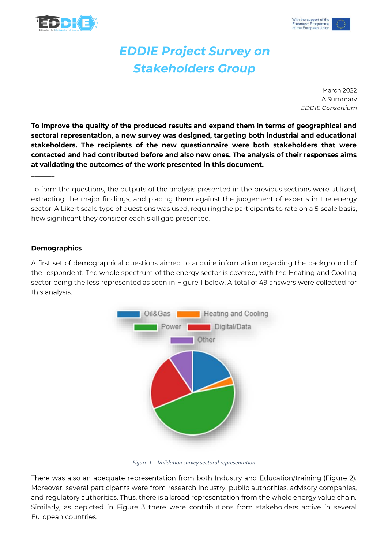



## **EDDIE Project Survey on Stakeholders Group**

**March 2022** A Summary **EDDIE Consortium** 

To improve the quality of the produced results and expand them in terms of geographical and sectoral representation, a new survey was designed, targeting both industrial and educational stakeholders. The recipients of the new questionnaire were both stakeholders that were contacted and had contributed before and also new ones. The analysis of their responses aims at validating the outcomes of the work presented in this document.

To form the questions, the outputs of the analysis presented in the previous sections were utilized, extracting the major findings, and placing them against the judgement of experts in the energy sector. A Likert scale type of questions was used, requiring the participants to rate on a 5-scale basis, how significant they consider each skill gap presented.

## **Demographics**

A first set of demographical questions aimed to acquire information regarding the background of the respondent. The whole spectrum of the energy sector is covered, with the Heating and Cooling sector being the less represented as seen in Figure 1 below. A total of 49 answers were collected for this analysis.



Figure 1. - Validation survey sectoral representation

There was also an adequate representation from both Industry and Education/training (Figure 2). Moreover, several participants were from research industry, public authorities, advisory companies, and regulatory authorities. Thus, there is a broad representation from the whole energy value chain. Similarly, as depicted in Figure 3 there were contributions from stakeholders active in several European countries.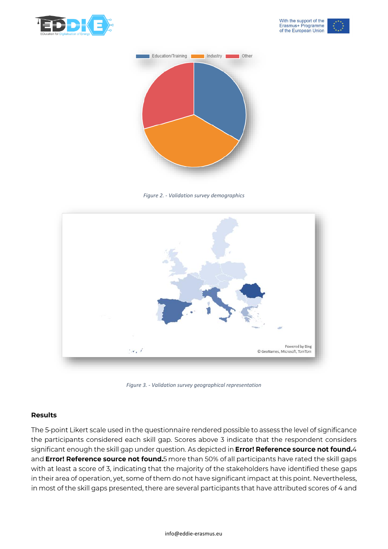



*Figure 2. - Validation survey demographics*



*Figure 3. - Validation survey geographical representation*

## **Results**

The 5-point Likert scale used in the questionnaire rendered possible to assess the level of significance the participants considered each skill gap. Scores above 3 indicate that the respondent considers significant enough the skill gap under question. As depicted in Error! Reference source not found.4 and Error! Reference source not found.5 more than 50% of all participants have rated the skill gaps with at least a score of 3, indicating that the majority of the stakeholders have identified these gaps in their area of operation, yet, some of them do not have significant impact at this point. Nevertheless, in most of the skill gaps presented, there are several participants that have attributed scores of 4 and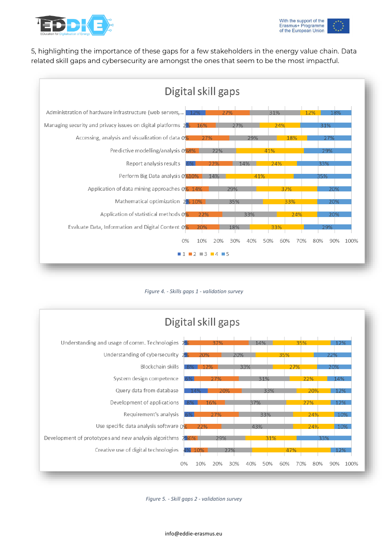

5, highlighting the importance of these gaps for a few stakeholders in the energy value chain. Data related skill gaps and cybersecurity are amongst the ones that seem to be the most impactful.



*Figure 4. - Skills gaps 1 - validation survey*



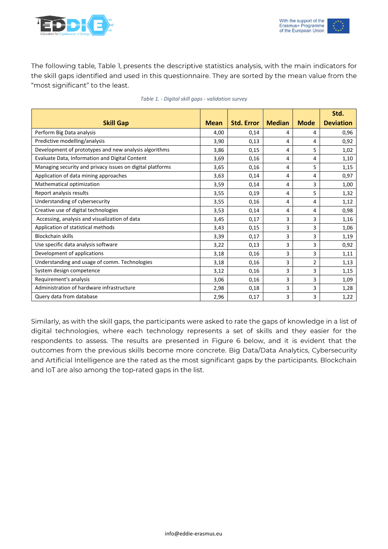

The following table, Table 1, presents the descriptive statistics analysis, with the main indicators for the skill gaps identified and used in this questionnaire. They are sorted by the mean value from the "most significant" to the least.

|                                                           |             |                   |               |                | Std.             |
|-----------------------------------------------------------|-------------|-------------------|---------------|----------------|------------------|
| <b>Skill Gap</b>                                          | <b>Mean</b> | <b>Std. Error</b> | <b>Median</b> | <b>Mode</b>    | <b>Deviation</b> |
| Perform Big Data analysis                                 | 4,00        | 0,14              | 4             | 4              | 0,96             |
| Predictive modelling/analysis                             | 3,90        | 0,13              | 4             | 4              | 0,92             |
| Development of prototypes and new analysis algorithms     | 3,86        | 0,15              | 4             | 5              | 1,02             |
| Evaluate Data, Information and Digital Content            | 3,69        | 0,16              | 4             | 4              | 1,10             |
| Managing security and privacy issues on digital platforms | 3,65        | 0,16              | 4             | 5              | 1,15             |
| Application of data mining approaches                     | 3,63        | 0,14              | 4             | 4              | 0,97             |
| Mathematical optimization                                 | 3,59        | 0,14              | 4             | 3              | 1,00             |
| Report analysis results                                   | 3,55        | 0,19              | 4             | 5              | 1,32             |
| Understanding of cybersecurity                            | 3,55        | 0,16              | 4             | 4              | 1,12             |
| Creative use of digital technologies                      | 3,53        | 0,14              | 4             | 4              | 0,98             |
| Accessing, analysis and visualization of data             | 3,45        | 0,17              | 3             | 3              | 1,16             |
| Application of statistical methods                        | 3,43        | 0,15              | 3             | 3              | 1,06             |
| <b>Blockchain skills</b>                                  | 3,39        | 0,17              | 3             | 3              | 1,19             |
| Use specific data analysis software                       | 3,22        | 0,13              | 3             | 3              | 0,92             |
| Development of applications                               | 3,18        | 0,16              | 3             | 3              | 1,11             |
| Understanding and usage of comm. Technologies             | 3,18        | 0,16              | 3             | $\overline{2}$ | 1,13             |
| System design competence                                  | 3,12        | 0,16              | 3             | 3              | 1,15             |
| Requirement's analysis                                    | 3,06        | 0,16              | 3             | 3              | 1,09             |
| Administration of hardware infrastructure                 | 2,98        | 0,18              | 3             | 3              | 1,28             |
| Query data from database                                  | 2,96        | 0,17              | 3             | 3              | 1,22             |

|  |  |  |  |  |  | Table 1. - Digital skill gaps - validation survey |  |
|--|--|--|--|--|--|---------------------------------------------------|--|
|--|--|--|--|--|--|---------------------------------------------------|--|

Similarly, as with the skill gaps, the participants were asked to rate the gaps of knowledge in a list of digital technologies, where each technology represents a set of skills and they easier for the respondents to assess. The results are presented in Figure 6 below, and it is evident that the outcomes from the previous skills become more concrete. Big Data/Data Analytics, Cybersecurity and Artificial Intelligence are the rated as the most significant gaps by the participants. Blockchain and IoT are also among the top-rated gaps in the list.